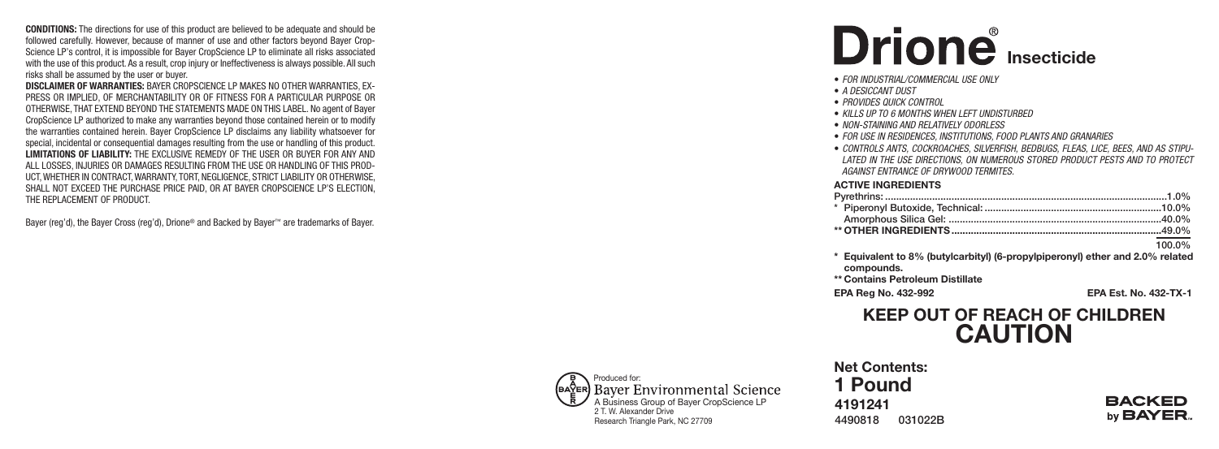**CONDITIONS:** The directions for use of this product are believed to be adequate and should be followed carefully. However, because of manner of use and other factors beyond Bayer Crop-Science LP's control, it is impossible for Bayer CropScience LP to eliminate all risks associated with the use of this product. As a result, crop injury or Ineffectiveness is always possible. All such risks shall be assumed by the user or buyer.

DISCLAIMER OF WARRANTIES: BAYER CROPSCIENCE LP MAKES NO OTHER WARRANTIES, EX-PRESS OR IMPLIED, OF MERCHANTABILITY OR OF FITNESS FOR A PARTICULAR PURPOSE OR OTHERWISE, THAT EXTEND BEYOND THE STATEMENTS MADE ON THIS LABEL. No agent of Bayer CropScience LP authorized to make any warranties beyond those contained herein or to modify the warranties contained herein. Bayer CropScience LP disclaims any liability whatsoever for special, incidental or consequential damages resulting from the use or handling of this product. LIMITATIONS OF LIABILITY: THE EXCLUSIVE REMEDY OF THE USER OR BUYER FOR ANY AND ALL LOSSES, INJURIES OR DAMAGES RESULTING FROM THE USE OR HANDLING OF THIS PROD-UCT, WHETHER IN CONTRACT, WARRANTY, TORT, NEGLIGENCE, STRICT LIABILITY OR OTHERWISE, SHALL NOT EXCEED THE PURCHASE PRICE PAID, OR AT BAYER CROPSCIENCE LP'S ELECTION, THE REPLACEMENT OF PRODUCT.

Bayer (reg'd), the Bayer Cross (reg'd), Drione® and Backed by Bayer™ are trademarks of Bayer.

# **I n s e c t i c i d e**

- *FOR INDUSTRIAL/COMMERCIAL USE ONLY*
- A DESICCANT DUST
- *PRO VIDES QUICK CON TROL*
- *KIL L S UP TO 6 MON THS WHEN L EF T UNDIS TURBED*
- *NON - S TA INING A ND RELA TI VEL Y OD ORL ESS*
- $\bullet$  *FOR USE IN RESIDENCES, INSTITUTIONS, FOOD PLANTS AND GRANARIES*
- CONTROLS ANTS, COCKROACHES, SILVERFISH, BEDBUGS, FLEAS, LICE, BEES, AND AS STIPU-LATED IN THE USE DIRECTIONS, ON NUMEROUS STORED PRODUCT PESTS AND TO PROTECT *A GA INS T EN TRA NCE OF DR YWO OD TERMI TES.*

#### **ACTIVE INGREDIENTS**

| 100.0% |
|--------|

\* Equivalent to 8% (butylcarbityl) (6-propylpiperonyl) ether and 2.0% related compounds.

\*\* Contains Petroleum Distillate

**E PA R e g N o . 4 3 2 - 9 9 2**

**E PA E s t . N o . 4 3 2 - T X - 1**

## **KEEP OUT OF REACH OF CHILDREN** CAUTION

#### Produced for: (baŸer) **Bayer Environmental Science** A Business Group of Bayer CropScience LP 2 T. W. Alexander Drive Research Triangle Park, NC 27709

**4 1 9 1 2 4 1 4 4 9 0 8 1 8 0 3 1 0 2 2 B Net Contents:** 1 Pound

#### **BACKED** by **BAYER**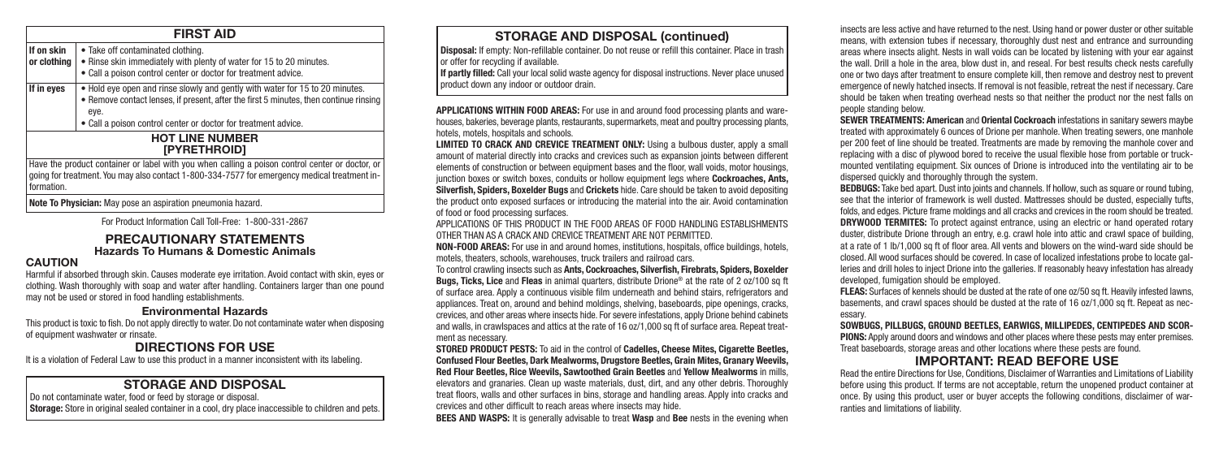#### **FIRST AID**

**If on skin** • Take off contaminated clothing.<br> **or clothing** • Rinse skin immediately with ple • Rinse skin immediately with plenty of water for 15 to 20 minutes.

• Call a poison control center or doctor for treatment advice.

**If in eyes**  $\bullet$  Hold eye open and rinse slowly and gently with water for 15 to 20 minutes. • Remove contact lenses, if present, after the first 5 minutes, then continue rinsing eye.

• Call a poison control center or doctor for treatment advice.

#### **HOT LINE NUMBER [PYRETHROID]**

Have the product container or label with you when calling a poison control center or doctor, or going for treatment. You may also contact 1-800-334-7577 for emergency medical treatment information.

**Note To Physician:** May pose an aspiration pneumonia hazard.

For Product Information Call Toll-Free: 1-800-331-2867

#### **PRECAUTIONARY STATEMENTS Hazards To Humans & Domestic Animals**

#### **CAUTION**

Harmful if absorbed through skin. Causes moderate eye irritation. Avoid contact with skin, eyes or clothing. Wash thoroughly with soap and water after handling. Containers larger than one pound may not be used or stored in food handling establishments.

#### **Environmental Hazards**

This product is toxic to fish. Do not apply directly to water. Do not contaminate water when disposing of equipment washwater or rinsate.

### **DIRECTIONS FOR USE**

It is a violation of Federal Law to use this product in a manner inconsistent with its labeling.

### **STORAGE AND DISPOSAL**

Do not contaminate water, food or feed by storage or disposal. **Storage:** Store in original sealed container in a cool, dry place inaccessible to children and pets.

#### **STORAGE AND DISPOSAL (continued)**

**Disposal:** If empty: Non-refillable container. Do not reuse or refill this container. Place in trash or offer for recycling if available.

**If partly filled:** Call your local solid waste agency for disposal instructions. Never place unused product down any indoor or outdoor drain.

**APPLICATIONS WITHIN FOOD AREAS:** For use in and around food processing plants and warehouses, bakeries, beverage plants, restaurants, supermarkets, meat and poultry processing plants, hotels, motels, hospitals and schools.

**LIMITED TO CRACK AND CREVICE TREATMENT ONLY:** Using a bulbous duster, apply a small amount of material directly into cracks and crevices such as expansion joints between different elements of construction or between equipment bases and the floor, wall voids, motor housings, junction boxes or switch boxes, conduits or hollow equipment legs where **Cockroaches, Ants, Silverfish, Spiders, Boxelder Bugs** and **Crickets** hide. Care should be taken to avoid depositing the product onto exposed surfaces or introducing the material into the air. Avoid contamination of food or food processing surfaces.

APPLICATIONS OF THIS PRODUCT IN THE FOOD AREAS OF FOOD HANDLING ESTABLISHMENTS OTHER THAN AS A CRACK AND CREVICE TREATMENT ARE NOT PERMITTED.

**NON-FOOD AREAS:** For use in and around homes, institutions, hospitals, office buildings, hotels, motels, theaters, schools, warehouses, truck trailers and railroad cars.

To control crawling insects such as **Ants, Cockroaches, Silverfish, Firebrats, Spiders, Boxelder Bugs, Ticks, Lice** and **Fleas** in animal quarters, distribute Drione® at the rate of 2 oz/100 sq ft of surface area. Apply a continuous visible film underneath and behind stairs, refrigerators and appliances. Treat on, around and behind moldings, shelving, baseboards, pipe openings, cracks, crevices, and other areas where insects hide. For severe infestations, apply Drione behind cabinets and walls, in crawlspaces and attics at the rate of 16 oz/1,000 sq ft of surface area. Repeat treatment as necessary.

**STORED PRODUCT PESTS:** To aid in the control of **Cadelles, Cheese Mites, Cigarette Beetles, Confused Flour Beetles, Dark Mealworms, Drugstore Beetles, Grain Mites, Granary Weevils, Red Flour Beetles, Rice Weevils, Sawtoothed Grain Beetles** and **Yellow Mealworms** in mills, elevators and granaries. Clean up waste materials, dust, dirt, and any other debris. Thoroughly treat floors, walls and other surfaces in bins, storage and handling areas. Apply into cracks and crevices and other difficult to reach areas where insects may hide.

**BEES AND WASPS:** It is generally advisable to treat **Wasp** and **Bee** nests in the evening when

insects are less active and have returned to the nest. Using hand or power duster or other suitable means, with extension tubes if necessary, thoroughly dust nest and entrance and surrounding areas where insects alight. Nests in wall voids can be located by listening with your ear against the wall. Drill a hole in the area, blow dust in, and reseal. For best results check nests carefully one or two days after treatment to ensure complete kill, then remove and destroy nest to prevent emergence of newly hatched insects. If removal is not feasible, retreat the nest if necessary. Care should be taken when treating overhead nests so that neither the product nor the nest falls on people standing below.

**SEWER TREATMENTS: American** and **Oriental Cockroach** infestations in sanitary sewers maybe treated with approximately 6 ounces of Drione per manhole. When treating sewers, one manhole per 200 feet of line should be treated. Treatments are made by removing the manhole cover and replacing with a disc of plywood bored to receive the usual flexible hose from portable or truckmounted ventilating equipment. Six ounces of Drione is introduced into the ventilating air to be dispersed quickly and thoroughly through the system.

**BEDBUGS:** Take bed apart. Dust into joints and channels. If hollow, such as square or round tubing, see that the interior of framework is well dusted. Mattresses should be dusted, especially tufts, folds, and edges. Picture frame moldings and all cracks and crevices in the room should be treated. **DRYWOOD TERMITES:** To protect against entrance, using an electric or hand operated rotary duster, distribute Drione through an entry, e.g. crawl hole into attic and crawl space of building, at a rate of 1 lb/1,000 sq ft of floor area. All vents and blowers on the wind-ward side should be closed. All wood surfaces should be covered. In case of localized infestations probe to locate galleries and drill holes to inject Drione into the galleries. If reasonably heavy infestation has already developed, fumigation should be employed.

**FLEAS:** Surfaces of kennels should be dusted at the rate of one oz/50 sq ft. Heavily infested lawns, basements, and crawl spaces should be dusted at the rate of 16 oz/1,000 sq ft. Repeat as necessary.

**SOWBUGS, PILLBUGS, GROUND BEETLES, EARWIGS, MILLIPEDES, CENTIPEDES AND SCOR-PIONS:** Apply around doors and windows and other places where these pests may enter premises. Treat baseboards, storage areas and other locations where these pests are found.

#### **IMPORTANT: READ BEFORE USE**

Read the entire Directions for Use, Conditions, Disclaimer of Warranties and Limitations of Liability before using this product. If terms are not acceptable, return the unopened product container at once. By using this product, user or buyer accepts the following conditions, disclaimer of warranties and limitations of liability.